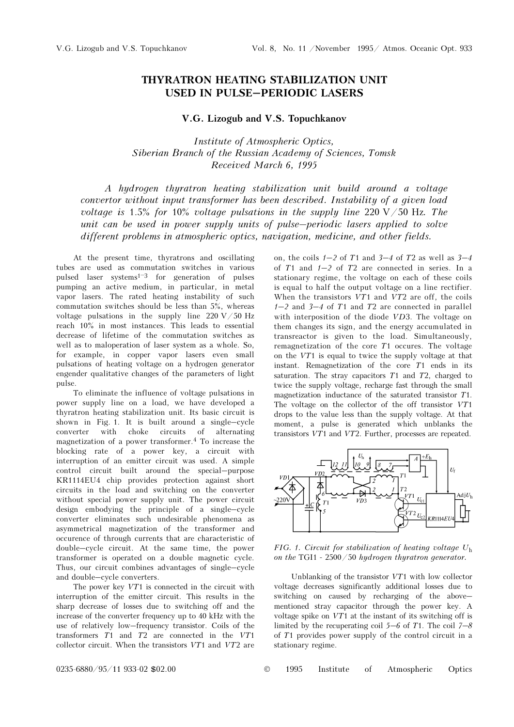## THYRATRON HEATING STABILIZATION UNIT USED IN PULSE–PERIODIC LASERS

## V.G. Lizogub and V.S. Topuchkanov

Institute of Atmospheric Optics, Siberian Branch of the Russian Academy of Sciences, Tomsk Received March 6, 1995

A hydrogen thyratron heating stabilization unit build around a voltage convertor without input transformer has been described. Instability of a given load voltage is 1.5% for 10% voltage pulsations in the supply line 220 V/50 Hz. The unit can be used in power supply units of pulse–periodic lasers applied to solve different problems in atmospheric optics, navigation, medicine, and other fields.

At the present time, thyratrons and oscillating tubes are used as commutation switches in various pulsed laser systems $1-3$  for generation of pulses pumping an active medium, in particular, in metal vapor lasers. The rated heating instability of such commutation switches should be less than 5%, whereas voltage pulsations in the supply line 220 V/50 Hz reach 10% in most instances. This leads to essential decrease of lifetime of the commutation switches as well as to maloperation of laser system as a whole. So, for example, in copper vapor lasers even small pulsations of heating voltage on a hydrogen generator engender qualitative changes of the parameters of light pulse.

To eliminate the influence of voltage pulsations in power supply line on a load, we have developed a thyratron heating stabilization unit. Its basic circuit is shown in Fig. 1. It is built around a single–cycle converter with choke circuits of alternating magnetization of a power transformer.<sup>4</sup> To increase the blocking rate of a power key, a circuit with interruption of an emitter circuit was used. A simple control circuit built around the special–purpose KR1114EU4 chip provides protection against short circuits in the load and switching on the converter without special power supply unit. The power circuit design embodying the principle of a single–cycle converter eliminates such undesirable phenomena as asymmetrical magnetization of the transformer and occurence of through currents that are characteristic of double–cycle circuit. At the same time, the power transformer is operated on a double magnetic cycle. Thus, our circuit combines advantages of single–cycle and double–cycle converters.

The power key  $VT1$  is connected in the circuit with interruption of the emitter circuit. This results in the sharp decrease of losses due to switching off and the increase of the converter frequency up to 40 kHz with the use of relatively low–frequency transistor. Coils of the transformers T1 and T2 are connected in the VT1 collector circuit. When the transistors VT1 and VT2 are

on, the coils  $1-2$  of T1 and  $3-4$  of T2 as well as  $3-4$ of  $T1$  and  $1-2$  of  $T2$  are connected in series. In a stationary regime, the voltage on each of these coils is equal to half the output voltage on a line rectifier. When the transistors  $VT1$  and  $VT2$  are off, the coils  $1-2$  and  $3-4$  of T1 and T2 are connected in parallel with interposition of the diode VD3. The voltage on them changes its sign, and the energy accumulated in transreactor is given to the load. Simultaneously, remagnetization of the core  $T1$  occures. The voltage on the VT1 is equal to twice the supply voltage at that instant. Remagnetization of the core T1 ends in its saturation. The stray capacitors  $T1$  and  $T2$ , charged to twice the supply voltage, recharge fast through the small magnetization inductance of the saturated transistor T1. The voltage on the collector of the off transistor VT1 drops to the value less than the supply voltage. At that moment, a pulse is generated which unblanks the transistors VT1 and VT2. Further, processes are repeated.



FIG. 1. Circuit for stabilization of heating voltage  $U<sub>h</sub>$ on the TGI1 -  $2500/50$  hydrogen thuratron generator.

Unblanking of the transistor VT1 with low collector voltage decreases significantly additional losses due to switching on caused by recharging of the above– mentioned stray capacitor through the power key. A voltage spike on VT1 at the instant of its switching off is limited by the recuperating coil  $5-6$  of T1. The coil  $7-8$ of T1 provides power supply of the control circuit in a stationary regime.